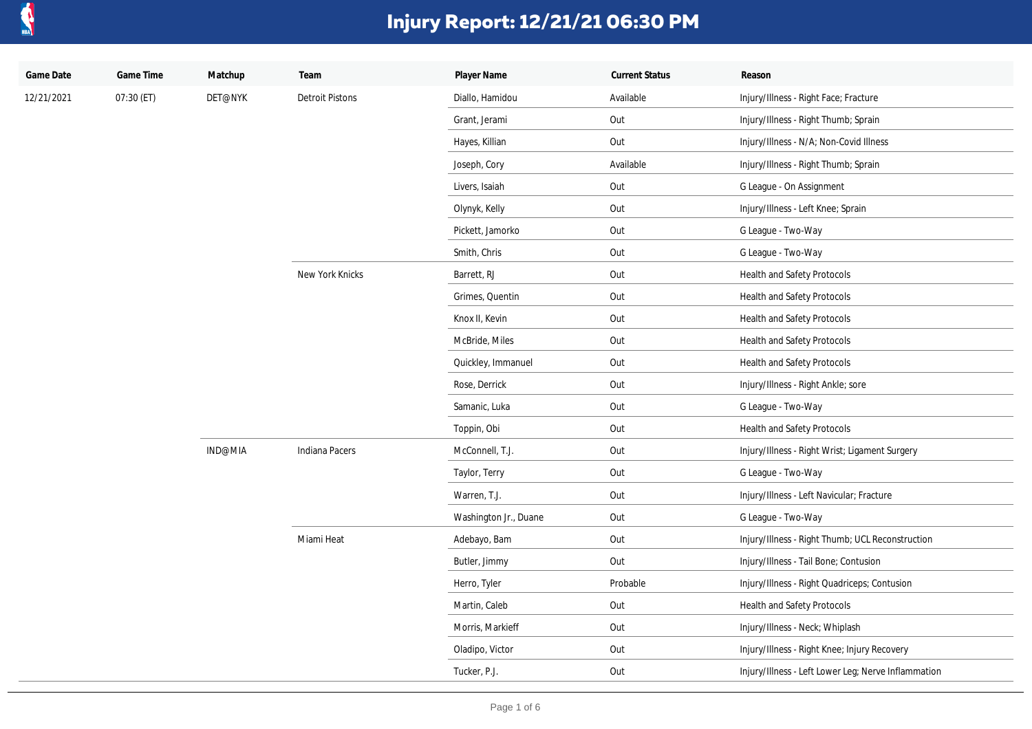

| Game Date  | Game Time  | Matchup | Team                   | Player Name           | <b>Current Status</b> | Reason                                              |
|------------|------------|---------|------------------------|-----------------------|-----------------------|-----------------------------------------------------|
| 12/21/2021 | 07:30 (ET) | DET@NYK | <b>Detroit Pistons</b> | Diallo, Hamidou       | Available             | Injury/Illness - Right Face; Fracture               |
|            |            |         |                        | Grant, Jerami         | Out                   | Injury/Illness - Right Thumb; Sprain                |
|            |            |         |                        | Hayes, Killian        | Out                   | Injury/Illness - N/A; Non-Covid Illness             |
|            |            |         |                        | Joseph, Cory          | Available             | Injury/Illness - Right Thumb; Sprain                |
|            |            |         |                        | Livers, Isaiah        | Out                   | G League - On Assignment                            |
|            |            |         |                        | Olynyk, Kelly         | Out                   | Injury/Illness - Left Knee; Sprain                  |
|            |            |         |                        | Pickett, Jamorko      | Out                   | G League - Two-Way                                  |
|            |            |         |                        | Smith, Chris          | Out                   | G League - Two-Way                                  |
|            |            |         | New York Knicks        | Barrett, RJ           | Out                   | Health and Safety Protocols                         |
|            |            |         |                        | Grimes, Quentin       | Out                   | Health and Safety Protocols                         |
|            |            |         |                        | Knox II, Kevin        | Out                   | Health and Safety Protocols                         |
|            |            |         |                        | McBride, Miles        | Out                   | Health and Safety Protocols                         |
|            |            |         |                        | Quickley, Immanuel    | Out                   | Health and Safety Protocols                         |
|            |            |         |                        | Rose, Derrick         | Out                   | Injury/Illness - Right Ankle; sore                  |
|            |            |         |                        | Samanic, Luka         | Out                   | G League - Two-Way                                  |
|            |            |         |                        | Toppin, Obi           | Out                   | Health and Safety Protocols                         |
|            |            | IND@MIA | Indiana Pacers         | McConnell, T.J.       | Out                   | Injury/Illness - Right Wrist; Ligament Surgery      |
|            |            |         |                        | Taylor, Terry         | Out                   | G League - Two-Way                                  |
|            |            |         |                        | Warren, T.J.          | Out                   | Injury/Illness - Left Navicular; Fracture           |
|            |            |         |                        | Washington Jr., Duane | Out                   | G League - Two-Way                                  |
|            |            |         | Miami Heat             | Adebayo, Bam          | Out                   | Injury/Illness - Right Thumb; UCL Reconstruction    |
|            |            |         |                        | Butler, Jimmy         | Out                   | Injury/Illness - Tail Bone; Contusion               |
|            |            |         |                        | Herro, Tyler          | Probable              | Injury/Illness - Right Quadriceps; Contusion        |
|            |            |         |                        | Martin, Caleb         | Out                   | Health and Safety Protocols                         |
|            |            |         |                        | Morris, Markieff      | Out                   | Injury/Illness - Neck; Whiplash                     |
|            |            |         |                        | Oladipo, Victor       | Out                   | Injury/Illness - Right Knee; Injury Recovery        |
|            |            |         |                        | Tucker, P.J.          | Out                   | Injury/Illness - Left Lower Leg; Nerve Inflammation |
|            |            |         |                        |                       |                       |                                                     |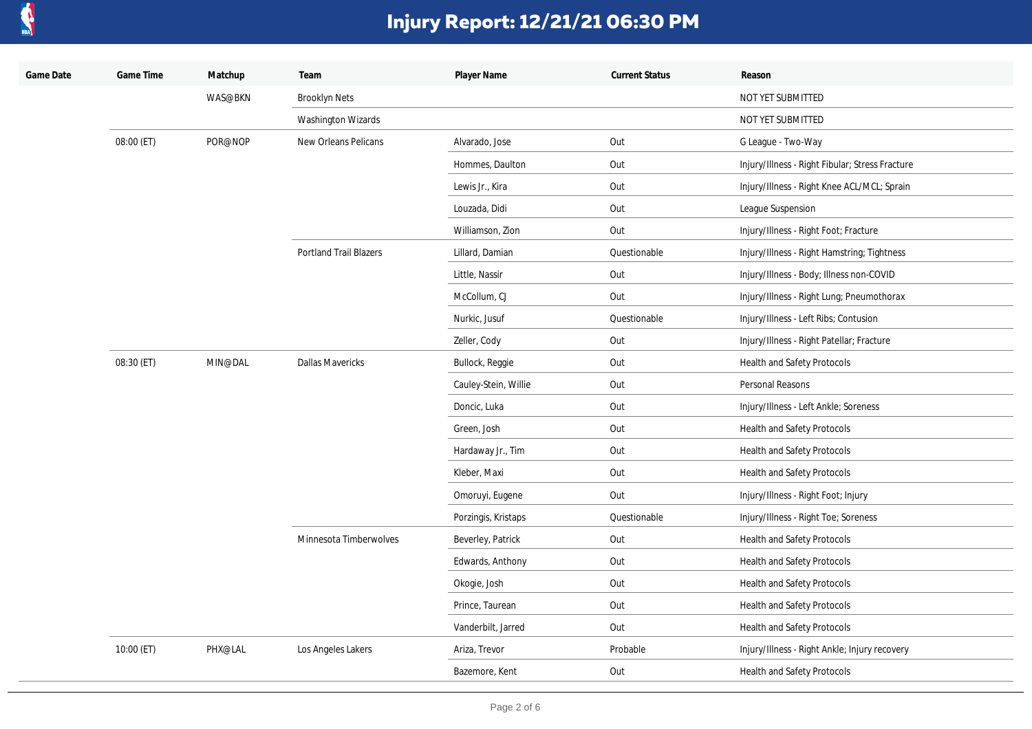

| Game Date | Game Time  | Matchup | Team                          | Player Name          | <b>Current Status</b> | Reason                                          |
|-----------|------------|---------|-------------------------------|----------------------|-----------------------|-------------------------------------------------|
|           |            | WAS@BKN | <b>Brooklyn Nets</b>          |                      |                       | NOT YET SUBMITTED                               |
|           |            |         | Washington Wizards            |                      |                       | NOT YET SUBMITTED                               |
|           | 08:00 (ET) | POR@NOP | New Orleans Pelicans          | Alvarado, Jose       | Out                   | G League - Two-Way                              |
|           |            |         |                               | Hommes, Daulton      | Out                   | Injury/Illness - Right Fibular; Stress Fracture |
|           |            |         |                               | Lewis Jr., Kira      | Out                   | Injury/Illness - Right Knee ACL/MCL; Sprain     |
|           |            |         |                               | Louzada, Didi        | Out                   | League Suspension                               |
|           |            |         |                               | Williamson, Zion     | Out                   | Injury/Illness - Right Foot; Fracture           |
|           |            |         | <b>Portland Trail Blazers</b> | Lillard, Damian      | Questionable          | Injury/Illness - Right Hamstring; Tightness     |
|           |            |         |                               | Little, Nassir       | Out                   | Injury/Illness - Body; Illness non-COVID        |
|           |            |         |                               | McCollum, CJ         | Out                   | Injury/Illness - Right Lung; Pneumothorax       |
|           |            |         |                               | Nurkic, Jusuf        | Questionable          | Injury/Illness - Left Ribs; Contusion           |
|           |            |         |                               | Zeller, Cody         | Out                   | Injury/Illness - Right Patellar; Fracture       |
|           | 08:30 (ET) | MIN@DAL | <b>Dallas Mavericks</b>       | Bullock, Reggie      | Out                   | Health and Safety Protocols                     |
|           |            |         |                               | Cauley-Stein, Willie | Out                   | Personal Reasons                                |
|           |            |         |                               | Doncic, Luka         | Out                   | Injury/Illness - Left Ankle; Soreness           |
|           |            |         |                               | Green, Josh          | Out                   | Health and Safety Protocols                     |
|           |            |         |                               | Hardaway Jr., Tim    | Out                   | Health and Safety Protocols                     |
|           |            |         |                               | Kleber, Maxi         | Out                   | Health and Safety Protocols                     |
|           |            |         |                               | Omoruyi, Eugene      | Out                   | Injury/Illness - Right Foot; Injury             |
|           |            |         |                               | Porzingis, Kristaps  | Questionable          | Injury/Illness - Right Toe; Soreness            |
|           |            |         | Minnesota Timberwolves        | Beverley, Patrick    | Out                   | Health and Safety Protocols                     |
|           |            |         |                               | Edwards, Anthony     | Out                   | Health and Safety Protocols                     |
|           |            |         |                               | Okogie, Josh         | Out                   | Health and Safety Protocols                     |
|           |            |         |                               | Prince, Taurean      | Out                   | Health and Safety Protocols                     |
|           |            |         |                               | Vanderbilt, Jarred   | Out                   | Health and Safety Protocols                     |
|           | 10:00 (ET) | PHX@LAL | Los Angeles Lakers            | Ariza, Trevor        | Probable              | Injury/Illness - Right Ankle; Injury recovery   |
|           |            |         |                               | Bazemore, Kent       | Out                   | Health and Safety Protocols                     |
|           |            |         |                               |                      |                       |                                                 |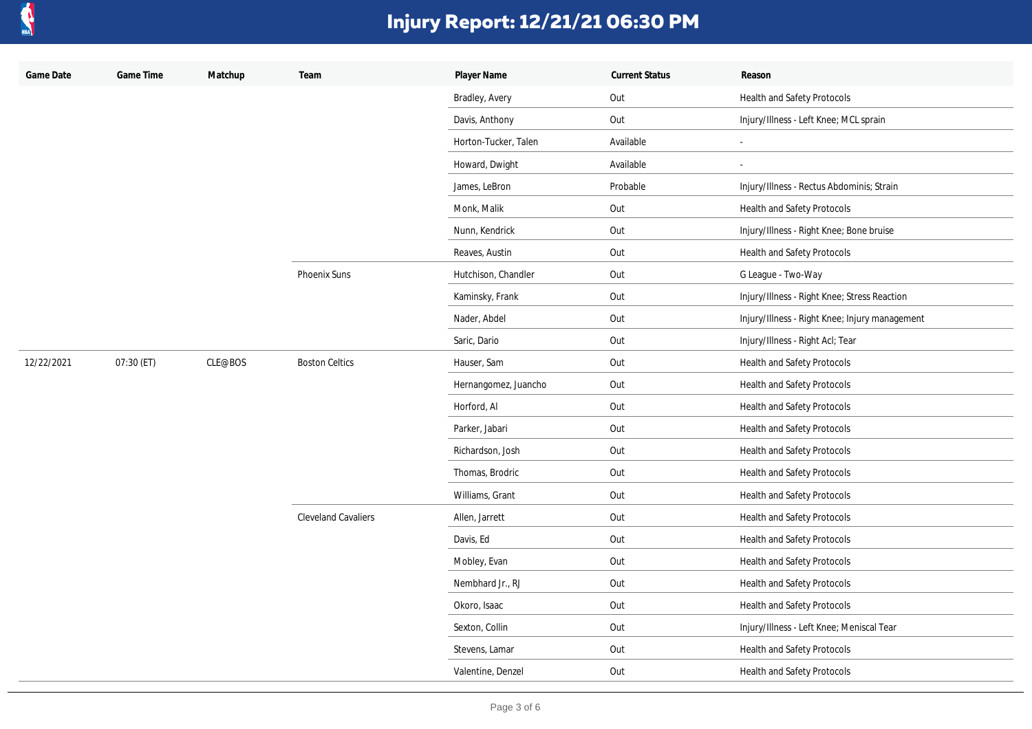

| Game Date  | Game Time  | Matchup | Team                       | Player Name          | <b>Current Status</b> | Reason                                         |
|------------|------------|---------|----------------------------|----------------------|-----------------------|------------------------------------------------|
|            |            |         |                            | Bradley, Avery       | Out                   | <b>Health and Safety Protocols</b>             |
|            |            |         |                            | Davis, Anthony       | Out                   | Injury/Illness - Left Knee; MCL sprain         |
|            |            |         |                            | Horton-Tucker, Talen | Available             | $\overline{\phantom{a}}$                       |
|            |            |         |                            | Howard, Dwight       | Available             | $\blacksquare$                                 |
|            |            |         |                            | James, LeBron        | Probable              | Injury/Illness - Rectus Abdominis; Strain      |
|            |            |         |                            | Monk, Malik          | Out                   | Health and Safety Protocols                    |
|            |            |         |                            | Nunn, Kendrick       | Out                   | Injury/Illness - Right Knee; Bone bruise       |
|            |            |         |                            | Reaves, Austin       | Out                   | Health and Safety Protocols                    |
|            |            |         | Phoenix Suns               | Hutchison, Chandler  | Out                   | G League - Two-Way                             |
|            |            |         |                            | Kaminsky, Frank      | Out                   | Injury/Illness - Right Knee; Stress Reaction   |
|            |            |         |                            | Nader, Abdel         | Out                   | Injury/Illness - Right Knee; Injury management |
|            |            |         |                            | Saric, Dario         | Out                   | Injury/Illness - Right Acl; Tear               |
| 12/22/2021 | 07:30 (ET) | CLE@BOS | <b>Boston Celtics</b>      | Hauser, Sam          | Out                   | Health and Safety Protocols                    |
|            |            |         |                            | Hernangomez, Juancho | Out                   | Health and Safety Protocols                    |
|            |            |         |                            | Horford, Al          | Out                   | Health and Safety Protocols                    |
|            |            |         |                            | Parker, Jabari       | Out                   | Health and Safety Protocols                    |
|            |            |         |                            | Richardson, Josh     | Out                   | Health and Safety Protocols                    |
|            |            |         |                            | Thomas, Brodric      | Out                   | Health and Safety Protocols                    |
|            |            |         |                            | Williams, Grant      | Out                   | Health and Safety Protocols                    |
|            |            |         | <b>Cleveland Cavaliers</b> | Allen, Jarrett       | Out                   | Health and Safety Protocols                    |
|            |            |         |                            | Davis, Ed            | Out                   | Health and Safety Protocols                    |
|            |            |         |                            | Mobley, Evan         | Out                   | Health and Safety Protocols                    |
|            |            |         |                            | Nembhard Jr., RJ     | Out                   | Health and Safety Protocols                    |
|            |            |         |                            | Okoro, Isaac         | Out                   | Health and Safety Protocols                    |
|            |            |         |                            | Sexton, Collin       | Out                   | Injury/Illness - Left Knee; Meniscal Tear      |
|            |            |         |                            | Stevens, Lamar       | Out                   | Health and Safety Protocols                    |
|            |            |         |                            | Valentine, Denzel    | Out                   | Health and Safety Protocols                    |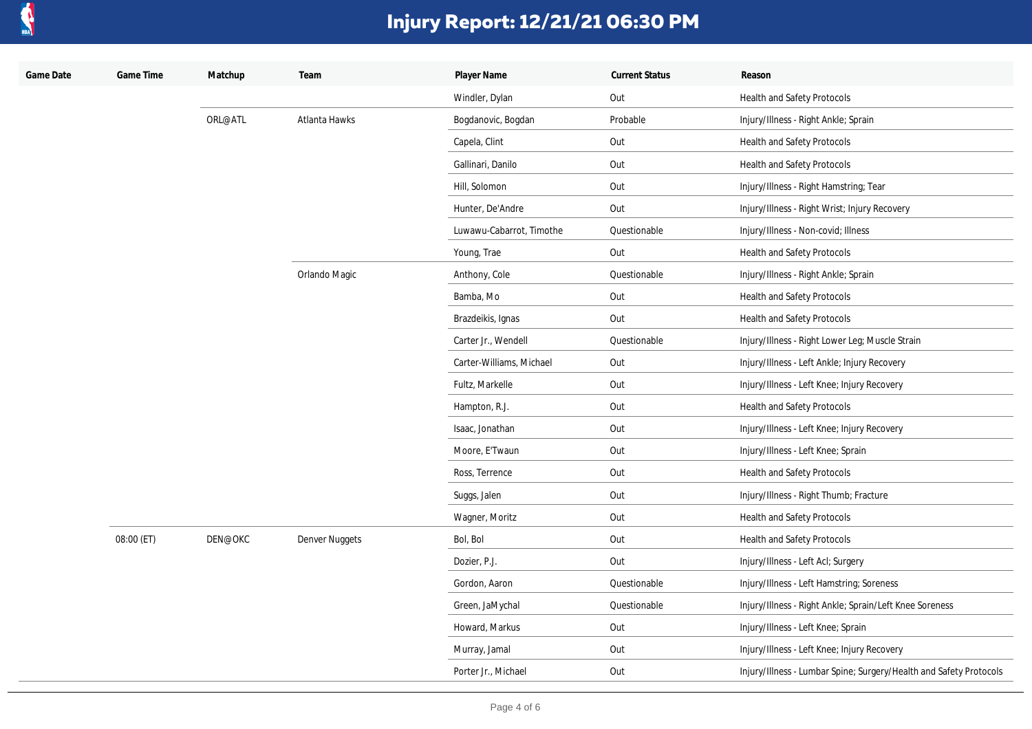

| Game Date | Game Time  | Matchup | Team           | Player Name              | <b>Current Status</b> | Reason                                                             |
|-----------|------------|---------|----------------|--------------------------|-----------------------|--------------------------------------------------------------------|
|           |            |         |                | Windler, Dylan           | Out                   | Health and Safety Protocols                                        |
|           |            | ORL@ATL | Atlanta Hawks  | Bogdanovic, Bogdan       | Probable              | Injury/Illness - Right Ankle; Sprain                               |
|           |            |         |                | Capela, Clint            | Out                   | <b>Health and Safety Protocols</b>                                 |
|           |            |         |                | Gallinari, Danilo        | Out                   | <b>Health and Safety Protocols</b>                                 |
|           |            |         |                | Hill, Solomon            | Out                   | Injury/Illness - Right Hamstring; Tear                             |
|           |            |         |                | Hunter, De'Andre         | Out                   | Injury/Illness - Right Wrist; Injury Recovery                      |
|           |            |         |                | Luwawu-Cabarrot, Timothe | Questionable          | Injury/Illness - Non-covid; Illness                                |
|           |            |         |                | Young, Trae              | Out                   | Health and Safety Protocols                                        |
|           |            |         | Orlando Magic  | Anthony, Cole            | Questionable          | Injury/Illness - Right Ankle; Sprain                               |
|           |            |         |                | Bamba, Mo                | Out                   | Health and Safety Protocols                                        |
|           |            |         |                | Brazdeikis, Ignas        | Out                   | Health and Safety Protocols                                        |
|           |            |         |                | Carter Jr., Wendell      | Questionable          | Injury/Illness - Right Lower Leg; Muscle Strain                    |
|           |            |         |                | Carter-Williams, Michael | Out                   | Injury/Illness - Left Ankle; Injury Recovery                       |
|           |            |         |                | Fultz, Markelle          | Out                   | Injury/Illness - Left Knee; Injury Recovery                        |
|           |            |         |                | Hampton, R.J.            | Out                   | Health and Safety Protocols                                        |
|           |            |         |                | Isaac, Jonathan          | Out                   | Injury/Illness - Left Knee; Injury Recovery                        |
|           |            |         |                | Moore, E'Twaun           | Out                   | Injury/Illness - Left Knee; Sprain                                 |
|           |            |         |                | Ross, Terrence           | Out                   | Health and Safety Protocols                                        |
|           |            |         |                | Suggs, Jalen             | Out                   | Injury/Illness - Right Thumb; Fracture                             |
|           |            |         |                | Wagner, Moritz           | Out                   | Health and Safety Protocols                                        |
|           | 08:00 (ET) | DEN@OKC | Denver Nuggets | Bol, Bol                 | Out                   | Health and Safety Protocols                                        |
|           |            |         |                | Dozier, P.J.             | Out                   | Injury/Illness - Left Acl; Surgery                                 |
|           |            |         |                | Gordon, Aaron            | Questionable          | Injury/Illness - Left Hamstring; Soreness                          |
|           |            |         |                | Green, JaMychal          | Questionable          | Injury/Illness - Right Ankle; Sprain/Left Knee Soreness            |
|           |            |         |                | Howard, Markus           | Out                   | Injury/Illness - Left Knee; Sprain                                 |
|           |            |         |                | Murray, Jamal            | Out                   | Injury/Illness - Left Knee; Injury Recovery                        |
|           |            |         |                | Porter Jr., Michael      | Out                   | Injury/Illness - Lumbar Spine; Surgery/Health and Safety Protocols |
|           |            |         |                |                          |                       |                                                                    |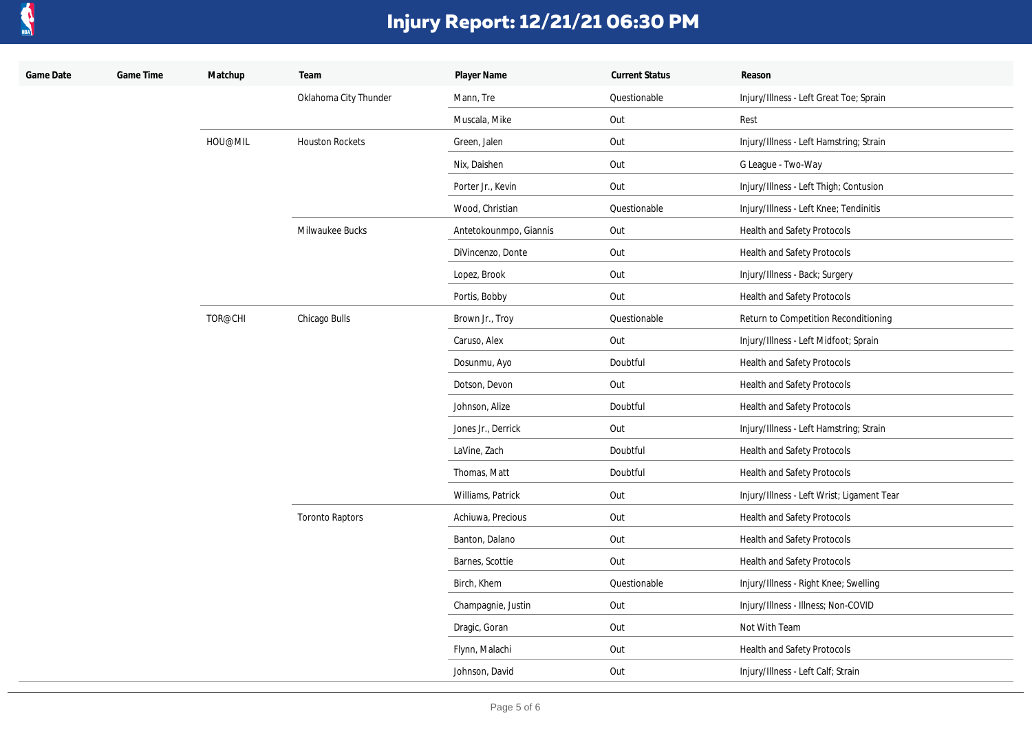

| Game Date | Game Time | Matchup | Team                   | Player Name            | <b>Current Status</b> | Reason                                     |
|-----------|-----------|---------|------------------------|------------------------|-----------------------|--------------------------------------------|
|           |           |         | Oklahoma City Thunder  | Mann, Tre              | Questionable          | Injury/Illness - Left Great Toe; Sprain    |
|           |           |         |                        | Muscala, Mike          | Out                   | Rest                                       |
|           |           | HOU@MIL | <b>Houston Rockets</b> | Green, Jalen           | Out                   | Injury/Illness - Left Hamstring; Strain    |
|           |           |         |                        | Nix, Daishen           | Out                   | G League - Two-Way                         |
|           |           |         |                        | Porter Jr., Kevin      | Out                   | Injury/Illness - Left Thigh; Contusion     |
|           |           |         |                        | Wood, Christian        | Questionable          | Injury/Illness - Left Knee; Tendinitis     |
|           |           |         | Milwaukee Bucks        | Antetokounmpo, Giannis | Out                   | Health and Safety Protocols                |
|           |           |         |                        | DiVincenzo, Donte      | Out                   | Health and Safety Protocols                |
|           |           |         |                        | Lopez, Brook           | Out                   | Injury/Illness - Back; Surgery             |
|           |           |         |                        | Portis, Bobby          | Out                   | Health and Safety Protocols                |
|           |           | TOR@CHI | Chicago Bulls          | Brown Jr., Troy        | Questionable          | Return to Competition Reconditioning       |
|           |           |         |                        | Caruso, Alex           | Out                   | Injury/Illness - Left Midfoot; Sprain      |
|           |           |         |                        | Dosunmu, Ayo           | Doubtful              | Health and Safety Protocols                |
|           |           |         |                        | Dotson, Devon          | Out                   | Health and Safety Protocols                |
|           |           |         |                        | Johnson, Alize         | Doubtful              | Health and Safety Protocols                |
|           |           |         |                        | Jones Jr., Derrick     | Out                   | Injury/Illness - Left Hamstring; Strain    |
|           |           |         |                        | LaVine, Zach           | Doubtful              | Health and Safety Protocols                |
|           |           |         |                        | Thomas, Matt           | Doubtful              | Health and Safety Protocols                |
|           |           |         | <b>Toronto Raptors</b> | Williams, Patrick      | Out                   | Injury/Illness - Left Wrist; Ligament Tear |
|           |           |         |                        | Achiuwa, Precious      | Out                   | Health and Safety Protocols                |
|           |           |         |                        | Banton, Dalano         | Out                   | Health and Safety Protocols                |
|           |           |         |                        | Barnes, Scottie        | Out                   | Health and Safety Protocols                |
|           |           |         |                        | Birch, Khem            | Questionable          | Injury/Illness - Right Knee; Swelling      |
|           |           |         |                        | Champagnie, Justin     | Out                   | Injury/Illness - Illness; Non-COVID        |
|           |           |         |                        | Dragic, Goran          | Out                   | Not With Team                              |
|           |           |         |                        | Flynn, Malachi         | Out                   | Health and Safety Protocols                |
|           |           |         |                        | Johnson, David         | Out                   | Injury/Illness - Left Calf; Strain         |
|           |           |         |                        |                        |                       |                                            |